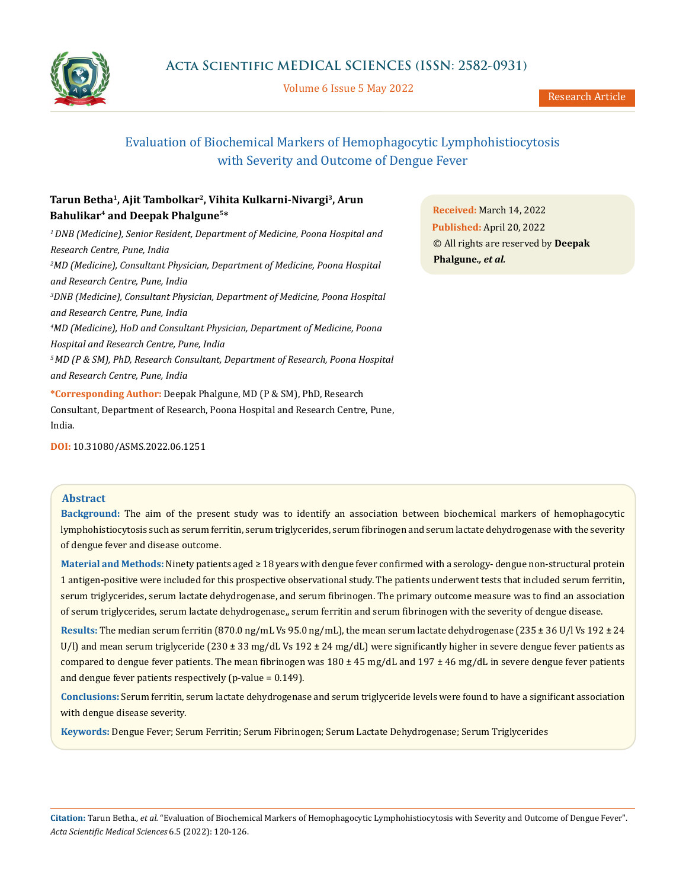

Volume 6 Issue 5 May 2022

# Evaluation of Biochemical Markers of Hemophagocytic Lymphohistiocytosis with Severity and Outcome of Dengue Fever

# **Tarun Betha1, Ajit Tambolkar2, Vihita Kulkarni-Nivargi3, Arun Bahulikar4 and Deepak Phalgune5\***

*1 DNB (Medicine), Senior Resident, Department of Medicine, Poona Hospital and Research Centre, Pune, India 2 MD (Medicine), Consultant Physician, Department of Medicine, Poona Hospital and Research Centre, Pune, India 3 DNB (Medicine), Consultant Physician, Department of Medicine, Poona Hospital and Research Centre, Pune, India 4 MD (Medicine), HoD and Consultant Physician, Department of Medicine, Poona Hospital and Research Centre, Pune, India 5 MD (P & SM), PhD, Research Consultant, Department of Research, Poona Hospital and Research Centre, Pune, India* **\*Corresponding Author:** Deepak Phalgune, MD (P & SM), PhD, Research

Consultant, Department of Research, Poona Hospital and Research Centre, Pune, India.

**Received:** March 14, 2022 **Published:** April 20, 2022 © All rights are reserved by **Deepak Phalgune***., et al.*

**DOI:** [10.31080/ASMS.2022.06.1251](http:// actascientific.com/ASMS/pdf/ASMS-06-1251.pdf)

## **Abstract**

**Background:** The aim of the present study was to identify an association between biochemical markers of hemophagocytic lymphohistiocytosis such as serum ferritin, serum triglycerides, serum fibrinogen and serum lactate dehydrogenase with the severity of dengue fever and disease outcome.

**Material and Methods:** Ninety patients aged ≥ 18 years with dengue fever confirmed with a serology- dengue non-structural protein 1 antigen-positive were included for this prospective observational study. The patients underwent tests that included serum ferritin, serum triglycerides, serum lactate dehydrogenase, and serum fibrinogen. The primary outcome measure was to find an association of serum triglycerides, serum lactate dehydrogenase,, serum ferritin and serum fibrinogen with the severity of dengue disease.

**Results:** The median serum ferritin (870.0 ng/mL Vs 95.0 ng/mL), the mean serum lactate dehydrogenase (235 ± 36 U/l Vs 192 ± 24 U/l) and mean serum triglyceride (230  $\pm$  33 mg/dL Vs 192  $\pm$  24 mg/dL) were significantly higher in severe dengue fever patients as compared to dengue fever patients. The mean fibrinogen was  $180 \pm 45$  mg/dL and  $197 \pm 46$  mg/dL in severe dengue fever patients and dengue fever patients respectively (p-value = 0.149).

**Conclusions:** Serum ferritin, serum lactate dehydrogenase and serum triglyceride levels were found to have a significant association with dengue disease severity.

**Keywords:** Dengue Fever; Serum Ferritin; Serum Fibrinogen; Serum Lactate Dehydrogenase; Serum Triglycerides

**Citation:** Tarun Betha*., et al.* "Evaluation of Biochemical Markers of Hemophagocytic Lymphohistiocytosis with Severity and Outcome of Dengue Fever". *Acta Scientific Medical Sciences* 6.5 (2022): 120-126.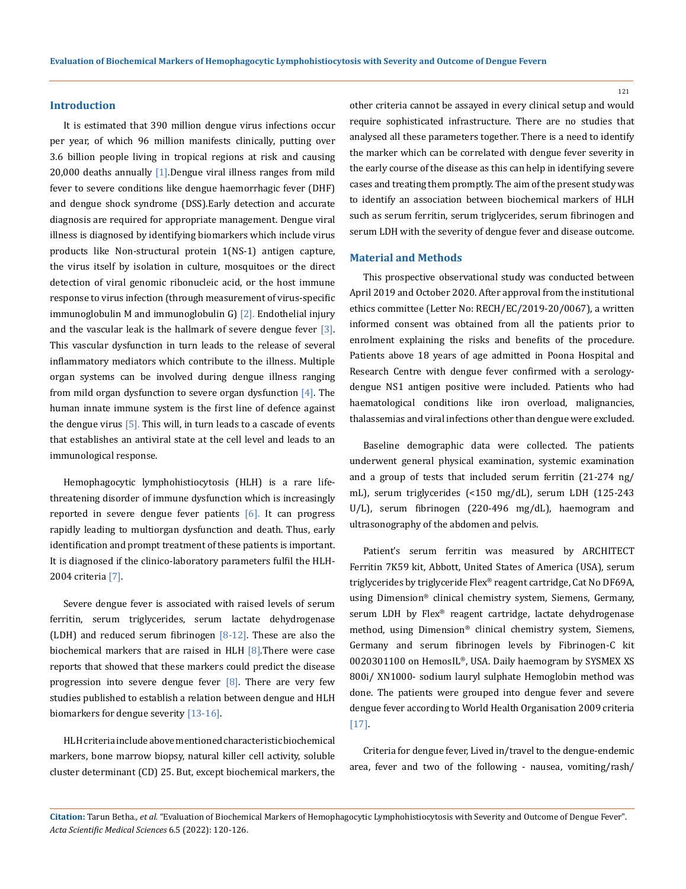#### **Introduction**

It is estimated that 390 million dengue virus infections occur per year, of which 96 million manifests clinically, putting over 3.6 billion people living in tropical regions at risk and causing 20,000 deaths annually  $[1]$ . Dengue viral illness ranges from mild fever to severe conditions like dengue haemorrhagic fever (DHF) and dengue shock syndrome (DSS).Early detection and accurate diagnosis are required for appropriate management. Dengue viral illness is diagnosed by identifying biomarkers which include virus products like Non-structural protein 1(NS-1) antigen capture, the virus itself by isolation in culture, mosquitoes or the direct detection of viral genomic ribonucleic acid, or the host immune response to virus infection (through measurement of virus-specific immunoglobulin M and immunoglobulin G) [2]. Endothelial injury and the vascular leak is the hallmark of severe dengue fever [3]. This vascular dysfunction in turn leads to the release of several inflammatory mediators which contribute to the illness. Multiple organ systems can be involved during dengue illness ranging from mild organ dysfunction to severe organ dysfunction  $[4]$ . The human innate immune system is the first line of defence against the dengue virus [5]. This will, in turn leads to a cascade of events that establishes an antiviral state at the cell level and leads to an immunological response.

Hemophagocytic lymphohistiocytosis (HLH) is a rare lifethreatening disorder of immune dysfunction which is increasingly reported in severe dengue fever patients  $[6]$ . It can progress rapidly leading to multiorgan dysfunction and death. Thus, early identification and prompt treatment of these patients is important. It is diagnosed if the clinico-laboratory parameters fulfil the HLH-2004 criteria [7].

Severe dengue fever is associated with raised levels of serum ferritin, serum triglycerides, serum lactate dehydrogenase (LDH) and reduced serum fibrinogen  $[8-12]$ . These are also the biochemical markers that are raised in HLH  $[8]$ . There were case reports that showed that these markers could predict the disease progression into severe dengue fever  $[8]$ . There are very few studies published to establish a relation between dengue and HLH biomarkers for dengue severity [13-16].

HLH criteria include above mentioned characteristic biochemical markers, bone marrow biopsy, natural killer cell activity, soluble cluster determinant (CD) 25. But, except biochemical markers, the other criteria cannot be assayed in every clinical setup and would require sophisticated infrastructure. There are no studies that analysed all these parameters together. There is a need to identify the marker which can be correlated with dengue fever severity in the early course of the disease as this can help in identifying severe cases and treating them promptly. The aim of the present study was to identify an association between biochemical markers of HLH such as serum ferritin, serum triglycerides, serum fibrinogen and serum LDH with the severity of dengue fever and disease outcome.

#### **Material and Methods**

This prospective observational study was conducted between April 2019 and October 2020. After approval from the institutional ethics committee (Letter No: RECH/EC/2019-20/0067), a written informed consent was obtained from all the patients prior to enrolment explaining the risks and benefits of the procedure. Patients above 18 years of age admitted in Poona Hospital and Research Centre with dengue fever confirmed with a serologydengue NS1 antigen positive were included. Patients who had haematological conditions like iron overload, malignancies, thalassemias and viral infections other than dengue were excluded.

Baseline demographic data were collected. The patients underwent general physical examination, systemic examination and a group of tests that included serum ferritin (21-274 ng/ mL), serum triglycerides (<150 mg/dL), serum LDH (125-243 U/L), serum fibrinogen (220-496 mg/dL), haemogram and ultrasonography of the abdomen and pelvis.

Patient's serum ferritin was measured by ARCHITECT Ferritin 7K59 kit, Abbott, United States of America (USA), serum triglycerides by triglyceride Flex® reagent cartridge, Cat No DF69A, using Dimension® clinical chemistry system, Siemens, Germany, serum LDH by Flex® reagent cartridge, lactate dehydrogenase method, using Dimension® clinical chemistry system, Siemens, Germany and serum fibrinogen levels by Fibrinogen-C kit 0020301100 on HemosIL®, USA. Daily haemogram by SYSMEX XS 800i/ XN1000- sodium lauryl sulphate Hemoglobin method was done. The patients were grouped into dengue fever and severe dengue fever according to World Health Organisation 2009 criteria [17].

Criteria for dengue fever, Lived in/travel to the dengue-endemic area, fever and two of the following - nausea, vomiting/rash/

121

**Citation:** Tarun Betha*., et al.* "Evaluation of Biochemical Markers of Hemophagocytic Lymphohistiocytosis with Severity and Outcome of Dengue Fever". *Acta Scientific Medical Sciences* 6.5 (2022): 120-126.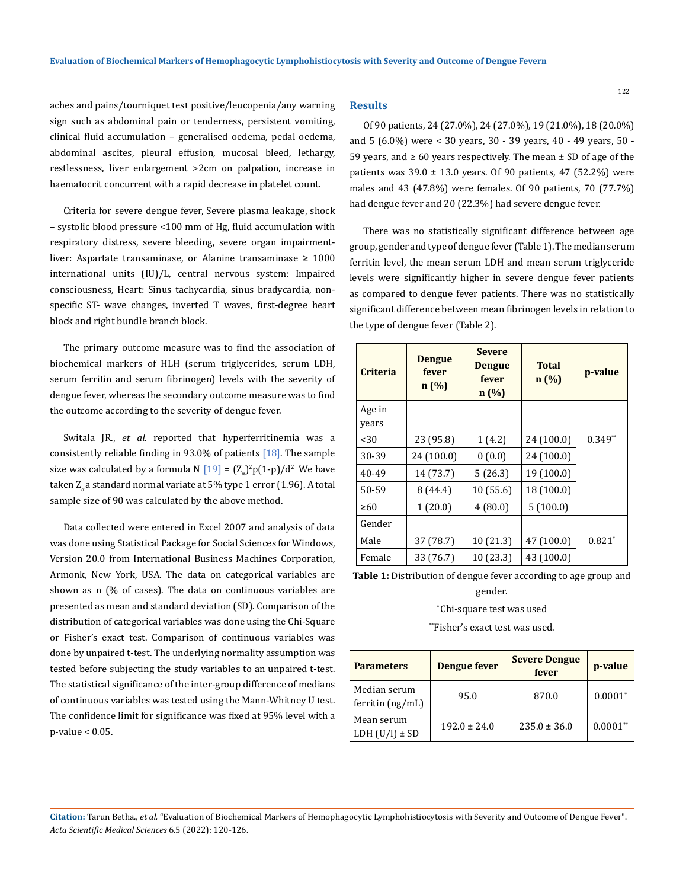aches and pains/tourniquet test positive/leucopenia/any warning sign such as abdominal pain or tenderness, persistent vomiting, clinical fluid accumulation – generalised oedema, pedal oedema, abdominal ascites, pleural effusion, mucosal bleed, lethargy, restlessness, liver enlargement >2cm on palpation, increase in haematocrit concurrent with a rapid decrease in platelet count.

Criteria for severe dengue fever, Severe plasma leakage, shock – systolic blood pressure <100 mm of Hg, fluid accumulation with respiratory distress, severe bleeding, severe organ impairmentliver: Aspartate transaminase, or Alanine transaminase  $\geq 1000$ international units (IU)/L, central nervous system: Impaired consciousness, Heart: Sinus tachycardia, sinus bradycardia, nonspecific ST- wave changes, inverted T waves, first-degree heart block and right bundle branch block.

The primary outcome measure was to find the association of biochemical markers of HLH (serum triglycerides, serum LDH, serum ferritin and serum fibrinogen) levels with the severity of dengue fever, whereas the secondary outcome measure was to find the outcome according to the severity of dengue fever.

[Switala](https://pubmed.ncbi.nlm.nih.gov/?term=Switala+JR&cauthor_id=22322940) JR., *et al*. reported that hyperferritinemia was a consistently reliable finding in 93.0% of patients  $[18]$ . The sample size was calculated by a formula N  $[19] = (Z_{\alpha})^2 p(1-p)/d^2$  We have taken Z<sub>z</sub>a standard normal variate at 5% type 1 error (1.96). A total sample size of 90 was calculated by the above method.

Data collected were entered in Excel 2007 and analysis of data was done using Statistical Package for Social Sciences for Windows, Version 20.0 from International Business Machines Corporation, Armonk, New York, USA. The data on categorical variables are shown as n (% of cases). The data on continuous variables are presented as mean and standard deviation (SD). Comparison of the distribution of categorical variables was done using the Chi-Square or Fisher's exact test. Comparison of continuous variables was done by unpaired t-test. The underlying normality assumption was tested before subjecting the study variables to an unpaired t-test. The statistical significance of the inter-group difference of medians of continuous variables was tested using the Mann-Whitney U test. The confidence limit for significance was fixed at 95% level with a p-value < 0.05.

#### **Results**

Of 90 patients, 24 (27.0%), 24 (27.0%), 19 (21.0%), 18 (20.0%) and 5 (6.0%) were < 30 years, 30 - 39 years, 40 - 49 years, 50 - 59 years, and  $\geq 60$  years respectively. The mean  $\pm$  SD of age of the patients was  $39.0 \pm 13.0$  years. Of 90 patients, 47 (52.2%) were males and 43 (47.8%) were females. Of 90 patients, 70 (77.7%) had dengue fever and 20 (22.3%) had severe dengue fever.

There was no statistically significant difference between age group, gender and type of dengue fever (Table 1).The median serum ferritin level, the mean serum LDH and mean serum triglyceride levels were significantly higher in severe dengue fever patients as compared to dengue fever patients. There was no statistically significant difference between mean fibrinogen levels in relation to the type of dengue fever (Table 2).

| <b>Criteria</b> | <b>Dengue</b><br>fever<br>n(%) | <b>Severe</b><br><b>Dengue</b><br>fever<br>n(%) | <b>Total</b><br>n(%) | p-value   |
|-----------------|--------------------------------|-------------------------------------------------|----------------------|-----------|
| Age in<br>years |                                |                                                 |                      |           |
| $30$            | 23 (95.8)                      | 1(4.2)                                          | 24 (100.0)           | $0.349**$ |
| 30-39           | 24 (100.0)                     | 0(0.0)                                          | 24 (100.0)           |           |
| 40-49           | 14 (73.7)                      | 5(26.3)                                         | 19 (100.0)           |           |
| 50-59           | 8(44.4)                        | 10 (55.6)                                       | 18 (100.0)           |           |
| $\geq 60$       | 1(20.0)                        | 4(80.0)                                         | 5(100.0)             |           |
| Gender          |                                |                                                 |                      |           |
| Male            | 37 (78.7)                      | 10 (21.3)                                       | 47 (100.0)           | $0.821*$  |
| Female          | 33 (76.7)                      | 10 (23.3)                                       | 43 (100.0)           |           |

**Table 1:** Distribution of dengue fever according to age group and gender.

#### \* Chi-square test was used

\*\*Fisher's exact test was used.

| <b>Parameters</b>                  | <b>Dengue fever</b> | <b>Severe Dengue</b><br>fever | p-value       |
|------------------------------------|---------------------|-------------------------------|---------------|
| Median serum<br>ferritin $(ng/mL)$ | 95.0                | 870.0                         | $0.0001*$     |
| Mean serum<br>LDH $(U/I) \pm SD$   | $192.0 \pm 24.0$    | $235.0 \pm 36.0$              | $0.0001^{**}$ |

**Citation:** Tarun Betha*., et al.* "Evaluation of Biochemical Markers of Hemophagocytic Lymphohistiocytosis with Severity and Outcome of Dengue Fever". *Acta Scientific Medical Sciences* 6.5 (2022): 120-126.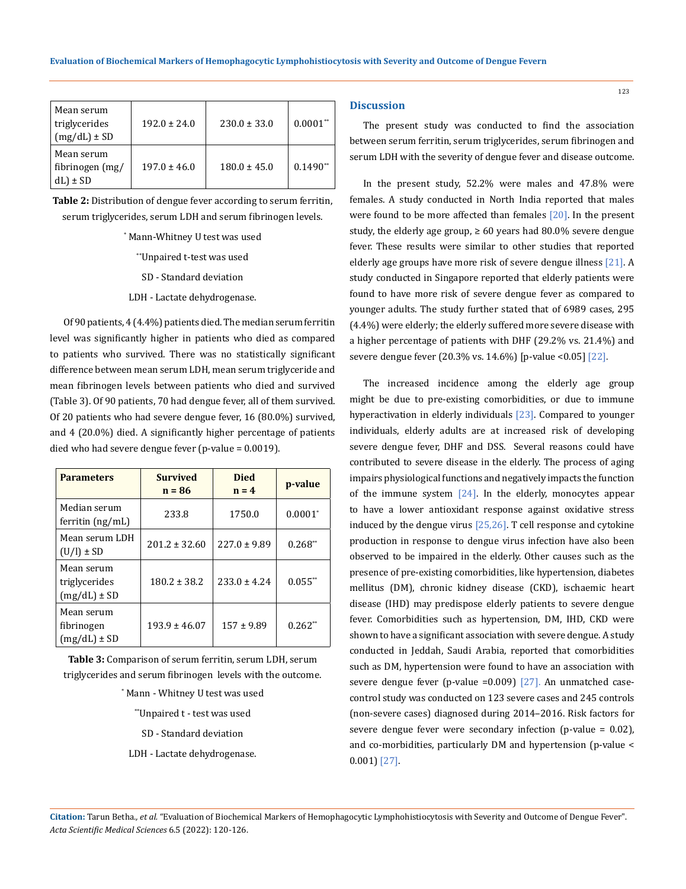| Mean serum       |                  |                  |            |
|------------------|------------------|------------------|------------|
| triglycerides    | $192.0 + 24.0$   | $230.0 + 33.0$   | $0.0001**$ |
| $(mg/dL) \pm SD$ |                  |                  |            |
| Mean serum       |                  |                  |            |
| fibrinogen (mg/  | $197.0 \pm 46.0$ | $180.0 \pm 45.0$ | $0.1490**$ |
| $dL$ ± SD        |                  |                  |            |

**Table 2:** Distribution of dengue fever according to serum ferritin, serum triglycerides, serum LDH and serum fibrinogen levels.

> \* Mann-Whitney U test was used \*\*Unpaired t-test was used

> > SD - Standard deviation

LDH - Lactate dehydrogenase.

Of 90 patients, 4 (4.4%) patients died. The median serum ferritin level was significantly higher in patients who died as compared to patients who survived. There was no statistically significant difference between mean serum LDH, mean serum triglyceride and mean fibrinogen levels between patients who died and survived (Table 3). Of 90 patients, 70 had dengue fever, all of them survived. Of 20 patients who had severe dengue fever, 16 (80.0%) survived, and 4 (20.0%) died. A significantly higher percentage of patients died who had severe dengue fever (p-value = 0.0019).

| <b>Parameters</b>                               | <b>Survived</b><br>$n = 86$ | <b>Died</b><br>$n = 4$ | p-value    |
|-------------------------------------------------|-----------------------------|------------------------|------------|
| Median serum<br>ferritin $(ng/mL)$              | 233.8                       | 1750.0                 | $0.0001*$  |
| Mean serum LDH<br>$(U/I) \pm SD$                | $201.2 \pm 32.60$           | $227.0 \pm 9.89$       | $0.268**$  |
| Mean serum<br>triglycerides<br>$(mg/dL) \pm SD$ | $180.2 \pm 38.2$            | $233.0 \pm 4.24$       | $0.055$ ** |
| Mean serum<br>fibrinogen<br>$(mg/dL) \pm SD$    | $193.9 \pm 46.07$           | $157 \pm 9.89$         | $0.262**$  |

**Table 3:** Comparison of serum ferritin, serum LDH, serum triglycerides and serum fibrinogen levels with the outcome.

\* Mann - Whitney U test was used

\*\*Unpaired t - test was used

SD - Standard deviation

LDH - Lactate dehydrogenase.

#### **Discussion**

The present study was conducted to find the association between serum ferritin, serum triglycerides, serum fibrinogen and serum LDH with the severity of dengue fever and disease outcome.

In the present study, 52.2% were males and 47.8% were females. A study conducted in North India reported that males were found to be more affected than females [20]. In the present study, the elderly age group,  $\geq 60$  years had 80.0% severe dengue fever. These results were similar to other studies that reported elderly age groups have more risk of severe dengue illness [21]. A study conducted in Singapore reported that elderly patients were found to have more risk of severe dengue fever as compared to younger adults. The study further stated that of 6989 cases, 295 (4.4%) were elderly; the elderly suffered more severe disease with a higher percentage of patients with DHF (29.2% vs. 21.4%) and severe dengue fever (20.3% vs. 14.6%) [p-value <0.05] [22].

The increased incidence among the elderly age group might be due to pre-existing comorbidities, or due to immune hyperactivation in elderly individuals [23]. Compared to younger individuals, elderly adults are at increased risk of developing severe dengue fever, DHF and DSS. Several reasons could have contributed to severe disease in the elderly. The process of aging impairs physiological functions and negatively impacts the function of the immune system  $[24]$ . In the elderly, monocytes appear to have a lower antioxidant response against oxidative stress induced by the dengue virus [25,26]. T cell response and cytokine production in response to dengue virus infection have also been observed to be impaired in the elderly. Other causes such as the presence of pre-existing comorbidities, like hypertension, diabetes mellitus (DM), chronic kidney disease (CKD), ischaemic heart disease (IHD) may predispose elderly patients to severe dengue fever. Comorbidities such as hypertension, DM, IHD, CKD were shown to have a significant association with severe dengue. A study conducted in Jeddah, Saudi Arabia, reported that comorbidities such as DM, hypertension were found to have an association with severe dengue fever (p-value =0.009)  $[27]$ . An unmatched casecontrol study was conducted on 123 severe cases and 245 controls (non-severe cases) diagnosed during 2014–2016. Risk factors for severe dengue fever were secondary infection (p-value = 0.02), and co-morbidities, particularly DM and hypertension (p-value < 0.001) [27].

**Citation:** Tarun Betha*., et al.* "Evaluation of Biochemical Markers of Hemophagocytic Lymphohistiocytosis with Severity and Outcome of Dengue Fever". *Acta Scientific Medical Sciences* 6.5 (2022): 120-126.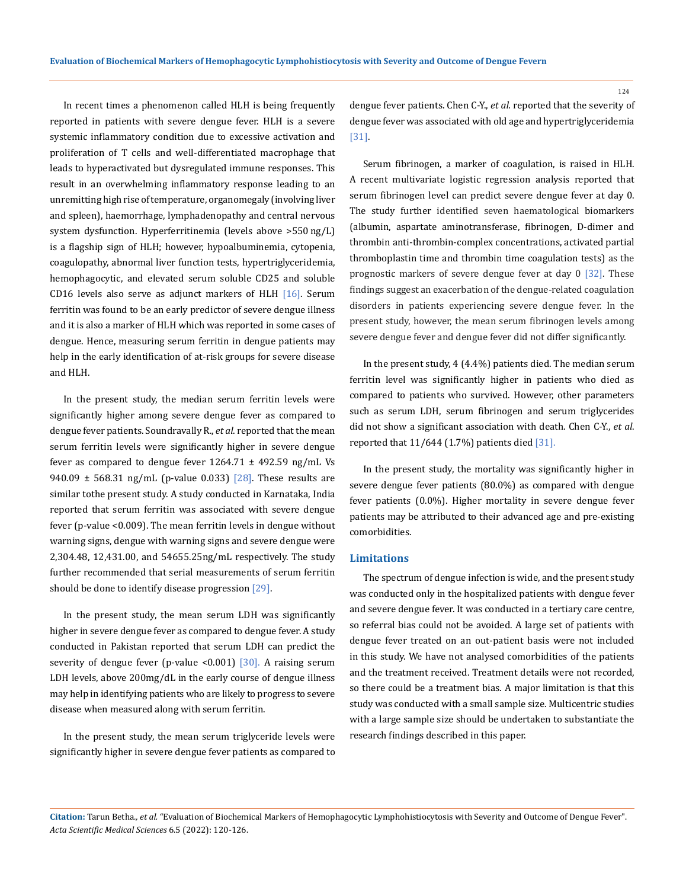In recent times a phenomenon called HLH is being frequently reported in patients with severe dengue fever. HLH is a severe systemic inflammatory condition due to excessive activation and proliferation of T cells and well-differentiated macrophage that leads to hyperactivated but dysregulated immune responses. This result in an overwhelming inflammatory response leading to an unremitting high rise of temperature, organomegaly (involving liver and spleen), haemorrhage, lymphadenopathy and central nervous system dysfunction. Hyperferritinemia (levels above >550 ng/L) is a flagship sign of HLH; however, hypoalbuminemia, cytopenia, coagulopathy, abnormal liver function tests, hypertriglyceridemia, hemophagocytic, and elevated serum soluble CD25 and soluble CD16 levels also serve as adjunct markers of HLH  $[16]$ . Serum ferritin was found to be an early predictor of severe dengue illness and it is also a marker of HLH which was reported in some cases of dengue. Hence, measuring serum ferritin in dengue patients may help in the early identification of at-risk groups for severe disease and HLH.

In the present study, the median serum ferritin levels were significantly higher among severe dengue fever as compared to dengue fever patients. Soundravally R., *et al*. reported that the mean serum ferritin levels were significantly higher in severe dengue fever as compared to dengue fever  $1264.71 \pm 492.59$  ng/mL Vs 940.09  $\pm$  568.31 ng/mL (p-value 0.033) [28]. These results are similar tothe present study. A study conducted in Karnataka, India reported that serum ferritin was associated with severe dengue fever (p-value <0.009). The mean ferritin levels in dengue without warning signs, dengue with warning signs and severe dengue were 2,304.48, 12,431.00, and 54655.25ng/mL respectively. The study further recommended that serial measurements of serum ferritin should be done to identify disease progression [29].

In the present study, the mean serum LDH was significantly higher in severe dengue fever as compared to dengue fever. A study conducted in Pakistan reported that serum LDH can predict the severity of dengue fever (p-value <0.001)  $\left[30\right]$ . A raising serum LDH levels, above 200mg/dL in the early course of dengue illness may help in identifying patients who are likely to progress to severe disease when measured along with serum ferritin.

In the present study, the mean serum triglyceride levels were significantly higher in severe dengue fever patients as compared to dengue fever patients. Chen C-Y., *et al.* reported that the severity of dengue fever was associated with old age and hypertriglyceridemia [31].

Serum fibrinogen, a marker of coagulation, is raised in HLH. A recent multivariate logistic regression analysis reported that serum fibrinogen level can predict severe dengue fever at day 0. The study further identified seven haematological biomarkers (albumin, aspartate aminotransferase, fibrinogen, D-dimer and thrombin anti-thrombin-complex concentrations, activated partial thromboplastin time and thrombin time coagulation tests) as the prognostic markers of severe dengue fever at day 0 [32]. These findings suggest an exacerbation of the dengue-related coagulation disorders in patients experiencing severe dengue fever. In the present study, however, the mean serum fibrinogen levels among severe dengue fever and dengue fever did not differ significantly.

In the present study, 4 (4.4%) patients died. The median serum ferritin level was significantly higher in patients who died as compared to patients who survived. However, other parameters such as serum LDH, serum fibrinogen and serum triglycerides did not show a significant association with death. Chen C-Y., *et al*. reported that 11/644 (1.7%) patients died [31].

In the present study, the mortality was significantly higher in severe dengue fever patients (80.0%) as compared with dengue fever patients (0.0%). Higher mortality in severe dengue fever patients may be attributed to their advanced age and pre-existing comorbidities.

#### **Limitations**

The spectrum of dengue infection is wide, and the present study was conducted only in the hospitalized patients with dengue fever and severe dengue fever. It was conducted in a tertiary care centre, so referral bias could not be avoided. A large set of patients with dengue fever treated on an out-patient basis were not included in this study. We have not analysed comorbidities of the patients and the treatment received. Treatment details were not recorded, so there could be a treatment bias. A major limitation is that this study was conducted with a small sample size. Multicentric studies with a large sample size should be undertaken to substantiate the research findings described in this paper.

**Citation:** Tarun Betha*., et al.* "Evaluation of Biochemical Markers of Hemophagocytic Lymphohistiocytosis with Severity and Outcome of Dengue Fever". *Acta Scientific Medical Sciences* 6.5 (2022): 120-126.

124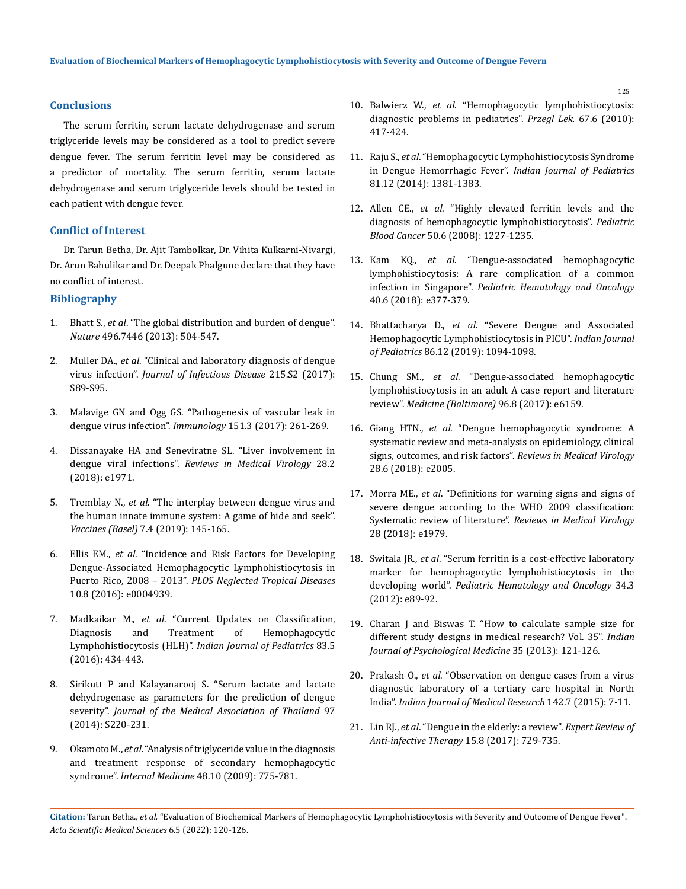## **Conclusions**

The serum ferritin, serum lactate dehydrogenase and serum triglyceride levels may be considered as a tool to predict severe dengue fever. The serum ferritin level may be considered as a predictor of mortality. The serum ferritin, serum lactate dehydrogenase and serum triglyceride levels should be tested in each patient with dengue fever.

### **Conflict of Interest**

Dr. Tarun Betha, Dr. Ajit Tambolkar, Dr. Vihita Kulkarni-Nivargi, Dr. Arun Bahulikar and Dr. Deepak Phalgune declare that they have no conflict of interest.

# **Bibliography**

- 1. Bhatt S., *et al*[. "The global distribution and burden of dengue".](https://www.nature.com/articles/nature12060)  *Nature* [496.7446 \(2013\): 504-547.](https://www.nature.com/articles/nature12060)
- 2. Muller DA., *et al*[. "Clinical and laboratory diagnosis of dengue](https://pubmed.ncbi.nlm.nih.gov/28403441/)  virus infection". *Journal of [Infectious Disease](https://pubmed.ncbi.nlm.nih.gov/28403441/)* 215.S2 (2017): [S89-S95.](https://pubmed.ncbi.nlm.nih.gov/28403441/)
- 3. [Malavige GN and Ogg GS. "Pathogenesis of vascular leak in](https://pubmed.ncbi.nlm.nih.gov/28437586/)  dengue virus infection". *Immunology* [151.3 \(2017\): 261-269.](https://pubmed.ncbi.nlm.nih.gov/28437586/)
- 4. Dissanayake HA and Seneviratne SL. "Liver involvement in dengue viral infections". *Reviews in Medical Virology* 28.2 (2018): e1971.
- 5. Tremblay N., *et al*[. "The interplay between dengue virus and](https://pubmed.ncbi.nlm.nih.gov/31658677/)  [the human innate immune system: A game of hide and seek".](https://pubmed.ncbi.nlm.nih.gov/31658677/)  *Vaccines (Basel)* [7.4 \(2019\): 145-165.](https://pubmed.ncbi.nlm.nih.gov/31658677/)
- 6. Ellis EM., *et al*[. "Incidence and Risk Factors for Developing](https://pubmed.ncbi.nlm.nih.gov/27556807/)  [Dengue-Associated Hemophagocytic Lymphohistiocytosis in](https://pubmed.ncbi.nlm.nih.gov/27556807/)  Puerto Rico, 2008 – 2013". *[PLOS Neglected Tropical Diseases](https://pubmed.ncbi.nlm.nih.gov/27556807/)* [10.8 \(2016\): e0004939.](https://pubmed.ncbi.nlm.nih.gov/27556807/)
- 7. Madkaikar M., *et al*[. "Current Updates on Classification,](https://pubmed.ncbi.nlm.nih.gov/26872683/)  [Diagnosis and Treatment of Hemophagocytic](https://pubmed.ncbi.nlm.nih.gov/26872683/)  Lymphohistiocytosis (HLH)". *[Indian Journal of Pediatrics](https://pubmed.ncbi.nlm.nih.gov/26872683/)* 83.5 [\(2016\): 434-443.](https://pubmed.ncbi.nlm.nih.gov/26872683/)
- 8. Sirikutt P and Kalayanarooj S. "Serum lactate and lactate dehydrogenase as parameters for the prediction of dengue severity". *Journal of the Medical Association of Thailand* 97 (2014): S220-231.
- 9. Okamoto M., *et al*[. "Analysis of triglyceride value in the diagnosis](https://pubmed.ncbi.nlm.nih.gov/19443971/)  [and treatment response of secondary hemophagocytic](https://pubmed.ncbi.nlm.nih.gov/19443971/)  syndrome". *Internal Medicine* 48.10 (2009): 775-781.
- 10. Balwierz W., *et al*. "Hemophagocytic lymphohistiocytosis: diagnostic problems in pediatrics". *Przegl Lek.* 67.6 (2010): 417-424.
- 11. Raju S., *et al*. "Hemophagocytic Lymphohistiocytosis Syndrome in Dengue Hemorrhagic Fever". *Indian Journal of Pediatrics* 81.12 (2014): 1381-1383.
- 12. Allen CE., *et al*[. "Highly elevated ferritin levels and the](https://pubmed.ncbi.nlm.nih.gov/18085676/)  [diagnosis of hemophagocytic lymphohistiocytosis".](https://pubmed.ncbi.nlm.nih.gov/18085676/) *Pediatric Blood Cancer* [50.6 \(2008\): 1227-1235.](https://pubmed.ncbi.nlm.nih.gov/18085676/)
- 13. Kam KQ., *et al*[. "Dengue-associated hemophagocytic](https://pubmed.ncbi.nlm.nih.gov/29200153/)  [lymphohistiocytosis: A rare complication of a common](https://pubmed.ncbi.nlm.nih.gov/29200153/)  infection in Singapore". *[Pediatric Hematology and Oncology](https://pubmed.ncbi.nlm.nih.gov/29200153/)*  [40.6 \(2018\): e377-379.](https://pubmed.ncbi.nlm.nih.gov/29200153/)
- 14. Bhattacharya D., *et al*[. "Severe Dengue and Associated](https://pubmed.ncbi.nlm.nih.gov/31353429/)  [Hemophagocytic Lymphohistiocytosis in PICU".](https://pubmed.ncbi.nlm.nih.gov/31353429/) *Indian Journal of Pediatrics* [86.12 \(2019\): 1094-1098.](https://pubmed.ncbi.nlm.nih.gov/31353429/)
- 15. Chung SM., *et al*[. "Dengue-associated hemophagocytic](https://journals.lww.com/md-journal/fulltext/2017/02240/dengue_associated.17.aspx)  [lymphohistiocytosis in an adult A case report and literature](https://journals.lww.com/md-journal/fulltext/2017/02240/dengue_associated.17.aspx)  review". *[Medicine \(Baltimore\)](https://journals.lww.com/md-journal/fulltext/2017/02240/dengue_associated.17.aspx)* 96.8 (2017): e6159.
- 16. Giang HTN., *et al*[. "Dengue hemophagocytic syndrome: A](https://pubmed.ncbi.nlm.nih.gov/30109914/)  [systematic review and meta-analysis on epidemiology, clinical](https://pubmed.ncbi.nlm.nih.gov/30109914/)  [signs, outcomes, and risk factors".](https://pubmed.ncbi.nlm.nih.gov/30109914/) *Reviews in Medical Virology*  [28.6 \(2018\): e2005.](https://pubmed.ncbi.nlm.nih.gov/30109914/)
- 17. Morra ME., *et al*[. "Definitions for warning signs and signs of](https://pubmed.ncbi.nlm.nih.gov/29691914/)  [severe dengue according to the WHO 2009 classification:](https://pubmed.ncbi.nlm.nih.gov/29691914/)  Systematic review of literature". *[Reviews in Medical Virology](https://pubmed.ncbi.nlm.nih.gov/29691914/)*  [28 \(2018\): e1979.](https://pubmed.ncbi.nlm.nih.gov/29691914/)
- 18. Switala JR., *et al*[. "Serum ferritin is a cost-effective laboratory](https://pubmed.ncbi.nlm.nih.gov/22322940/)  [marker for hemophagocytic lymphohistiocytosis in the](https://pubmed.ncbi.nlm.nih.gov/22322940/)  developing world". *[Pediatric Hematology and Oncology](https://pubmed.ncbi.nlm.nih.gov/22322940/)* 34.3 [\(2012\): e89-92.](https://pubmed.ncbi.nlm.nih.gov/22322940/)
- 19. [Charan J and Biswas T. "How to calculate sample size for](https://www.ncbi.nlm.nih.gov/pmc/articles/PMC3775042/)  [different study designs in medical research? Vol. 35".](https://www.ncbi.nlm.nih.gov/pmc/articles/PMC3775042/) *Indian [Journal of Psychological Medicine](https://www.ncbi.nlm.nih.gov/pmc/articles/PMC3775042/)* 35 (2013): 121-126.
- 20. Prakash O., *et al*. "Observation on dengue cases from a virus diagnostic laboratory of a tertiary care hospital in North India". *Indian Journal of Medical Research* 142.7 (2015): 7-11.
- 21. Lin RJ., *et al*[. "Dengue in the elderly: a review".](https://pubmed.ncbi.nlm.nih.gov/28730853/) *Expert Review of [Anti-infective Therapy](https://pubmed.ncbi.nlm.nih.gov/28730853/)* 15.8 (2017): 729-735.

**Citation:** Tarun Betha*., et al.* "Evaluation of Biochemical Markers of Hemophagocytic Lymphohistiocytosis with Severity and Outcome of Dengue Fever". *Acta Scientific Medical Sciences* 6.5 (2022): 120-126.

125